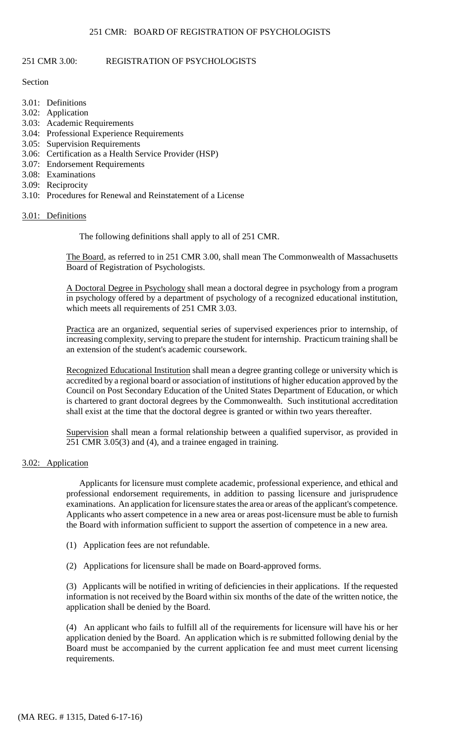# 251 CMR 3.00: REGISTRATION OF PSYCHOLOGISTS

## Section

- 3.01: Definitions
- 3.02: Application
- 3.03: Academic Requirements
- 3.04: Professional Experience Requirements
- 3.05: Supervision Requirements
- 3.06: Certification as a Health Service Provider (HSP)
- 3.07: Endorsement Requirements
- 3.08: Examinations
- 3.09: Reciprocity
- 3.10: Procedures for Renewal and Reinstatement of a License

## 3.01: Definitions

The following definitions shall apply to all of 251 CMR.

The Board, as referred to in 251 CMR 3.00, shall mean The Commonwealth of Massachusetts Board of Registration of Psychologists.

A Doctoral Degree in Psychology shall mean a doctoral degree in psychology from a program in psychology offered by a department of psychology of a recognized educational institution, which meets all requirements of 251 CMR 3.03.

Practica are an organized, sequential series of supervised experiences prior to internship, of increasing complexity, serving to prepare the student for internship. Practicum training shall be an extension of the student's academic coursework.

Recognized Educational Institution shall mean a degree granting college or university which is accredited by a regional board or association of institutions of higher education approved by the Council on Post Secondary Education of the United States Department of Education, or which is chartered to grant doctoral degrees by the Commonwealth. Such institutional accreditation shall exist at the time that the doctoral degree is granted or within two years thereafter.

Supervision shall mean a formal relationship between a qualified supervisor, as provided in 251 CMR 3.05(3) and (4), and a trainee engaged in training.

# 3.02: Application

 Applicants who assert competence in a new area or areas post-licensure must be able to furnish Applicants for licensure must complete academic, professional experience, and ethical and professional endorsement requirements, in addition to passing licensure and jurisprudence examinations. An application for licensure states the area or areas of the applicant's competence. the Board with information sufficient to support the assertion of competence in a new area.

- (1) Application fees are not refundable.
- (2) Applications for licensure shall be made on Board-approved forms.

(3) Applicants will be notified in writing of deficiencies in their applications. If the requested information is not received by the Board within six months of the date of the written notice, the application shall be denied by the Board.

 (4) An applicant who fails to fulfill all of the requirements for licensure will have his or her application denied by the Board. An application which is re submitted following denial by the Board must be accompanied by the current application fee and must meet current licensing requirements.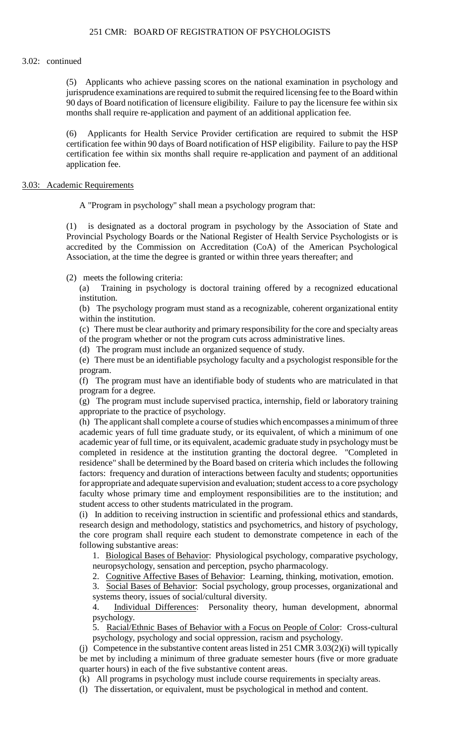#### 3.02: continued

(5) Applicants who achieve passing scores on the national examination in psychology and jurisprudence examinations are required to submit the required licensing fee to the Board within 90 days of Board notification of licensure eligibility. Failure to pay the licensure fee within six months shall require re-application and payment of an additional application fee.

 certification fee within 90 days of Board notification of HSP eligibility. Failure to pay the HSP (6) Applicants for Health Service Provider certification are required to submit the HSP certification fee within six months shall require re-application and payment of an additional application fee.

#### 3.03: Academic Requirements

A "Program in psychology" shall mean a psychology program that:

 (1) is designated as a doctoral program in psychology by the Association of State and Provincial Psychology Boards or the National Register of Health Service Psychologists or is accredited by the Commission on Accreditation (CoA) of the American Psychological Association, at the time the degree is granted or within three years thereafter; and

(2) meets the following criteria:

(a) Training in psychology is doctoral training offered by a recognized educational institution.

(b) The psychology program must stand as a recognizable, coherent organizational entity within the institution.

 (c) There must be clear authority and primary responsibility for the core and specialty areas of the program whether or not the program cuts across administrative lines.

(d) The program must include an organized sequence of study.

 (e) There must be an identifiable psychology faculty and a psychologist responsible for the program.

(f) The program must have an identifiable body of students who are matriculated in that program for a degree.

(g) The program must include supervised practica, internship, field or laboratory training appropriate to the practice of psychology.

 for appropriate and adequate supervision and evaluation; student access to a core psychology (h) The applicant shall complete a course of studies which encompasses a minimum of three academic years of full time graduate study, or its equivalent, of which a minimum of one academic year of full time, or its equivalent, academic graduate study in psychology must be completed in residence at the institution granting the doctoral degree. "Completed in residence" shall be determined by the Board based on criteria which includes the following factors: frequency and duration of interactions between faculty and students; opportunities faculty whose primary time and employment responsibilities are to the institution; and student access to other students matriculated in the program.

(i) In addition to receiving instruction in scientific and professional ethics and standards, research design and methodology, statistics and psychometrics, and history of psychology, the core program shall require each student to demonstrate competence in each of the following substantive areas:

1. Biological Bases of Behavior: Physiological psychology, comparative psychology, neuropsychology, sensation and perception, psycho pharmacology.

2. Cognitive Affective Bases of Behavior: Learning, thinking, motivation, emotion.

3. Social Bases of Behavior: Social psychology, group processes, organizational and systems theory, issues of social/cultural diversity.

4. Individual Differences: Personality theory, human development, abnormal psychology.

 5. Racial/Ethnic Bases of Behavior with a Focus on People of Color: Cross-cultural psychology, psychology and social oppression, racism and psychology.

 (j) Competence in the substantive content areas listed in 251 CMR 3.03(2)(i) will typically be met by including a minimum of three graduate semester hours (five or more graduate quarter hours) in each of the five substantive content areas.

(k) All programs in psychology must include course requirements in specialty areas.

(l) The dissertation, or equivalent, must be psychological in method and content.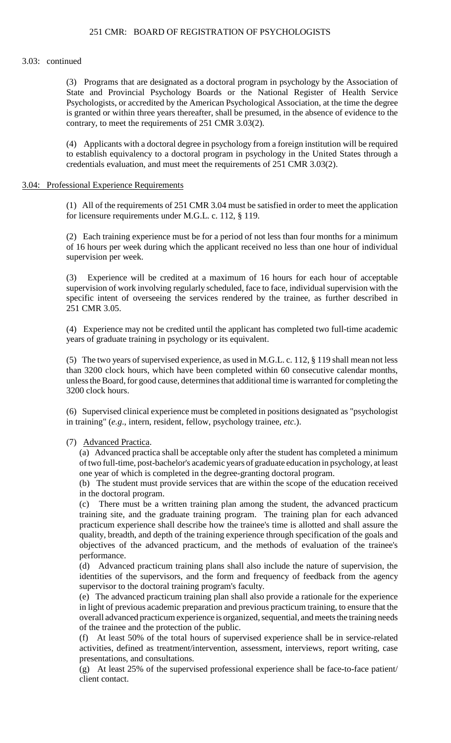#### 3.03: continued

(3) Programs that are designated as a doctoral program in psychology by the Association of State and Provincial Psychology Boards or the National Register of Health Service Psychologists, or accredited by the American Psychological Association, at the time the degree is granted or within three years thereafter, shall be presumed, in the absence of evidence to the contrary, to meet the requirements of 251 CMR 3.03(2).

 (4) Applicants with a doctoral degree in psychology from a foreign institution will be required to establish equivalency to a doctoral program in psychology in the United States through a credentials evaluation, and must meet the requirements of 251 CMR 3.03(2).

#### 3.04: Professional Experience Requirements

(1) All of the requirements of 251 CMR 3.04 must be satisfied in order to meet the application for licensure requirements under M.G.L. c. 112, § 119.

(2) Each training experience must be for a period of not less than four months for a minimum of 16 hours per week during which the applicant received no less than one hour of individual supervision per week.

(3) Experience will be credited at a maximum of 16 hours for each hour of acceptable supervision of work involving regularly scheduled, face to face, individual supervision with the specific intent of overseeing the services rendered by the trainee, as further described in 251 CMR 3.05.

(4) Experience may not be credited until the applicant has completed two full-time academic years of graduate training in psychology or its equivalent.

(5) The two years of supervised experience, as used in M.G.L. c. 112, § 119 shall mean not less than 3200 clock hours, which have been completed within 60 consecutive calendar months, unless the Board, for good cause, determines that additional time is warranted for completing the 3200 clock hours.

 (6) Supervised clinical experience must be completed in positions designated as "psychologist in training" (*e.g*., intern, resident, fellow, psychology trainee, *etc*.).

### (7) Advanced Practica.

 of two full-time, post-bachelor's academic years of graduate education in psychology, at least (a) Advanced practica shall be acceptable only after the student has completed a minimum one year of which is completed in the degree-granting doctoral program.

(b) The student must provide services that are within the scope of the education received in the doctoral program.

(c) There must be a written training plan among the student, the advanced practicum training site, and the graduate training program. The training plan for each advanced practicum experience shall describe how the trainee's time is allotted and shall assure the quality, breadth, and depth of the training experience through specification of the goals and objectives of the advanced practicum, and the methods of evaluation of the trainee's performance.

(d) Advanced practicum training plans shall also include the nature of supervision, the identities of the supervisors, and the form and frequency of feedback from the agency supervisor to the doctoral training program's faculty.

(e) The advanced practicum training plan shall also provide a rationale for the experience in light of previous academic preparation and previous practicum training, to ensure that the overall advanced practicum experience is organized, sequential, and meets the training needs of the trainee and the protection of the public.

 (f) At least 50% of the total hours of supervised experience shall be in service-related activities, defined as treatment/intervention, assessment, interviews, report writing, case presentations, and consultations.

(g) At least 25% of the supervised professional experience shall be face-to-face patient/ client contact.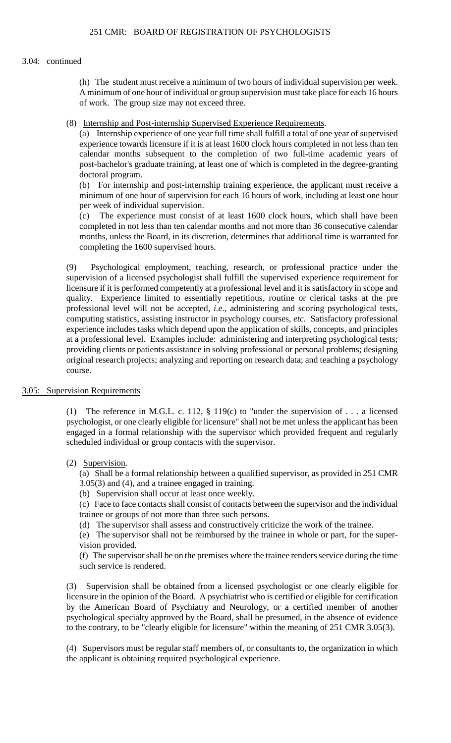#### 3.04: continued

(h) The student must receive a minimum of two hours of individual supervision per week. A minimum of one hour of individual or group supervision must take place for each 16 hours of work. The group size may not exceed three.

(8) Internship and Post-internship Supervised Experience Requirements.

(a) Internship experience of one year full time shall fulfill a total of one year of supervised experience towards licensure if it is at least 1600 clock hours completed in not less than ten calendar months subsequent to the completion of two full-time academic years of post-bachelor's graduate training, at least one of which is completed in the degree-granting doctoral program.

(b) For internship and post-internship training experience, the applicant must receive a minimum of one hour of supervision for each 16 hours of work, including at least one hour per week of individual supervision.

 $(c)$ The experience must consist of at least 1600 clock hours, which shall have been completed in not less than ten calendar months and not more than 36 consecutive calendar months, unless the Board, in its discretion, determines that additional time is warranted for completing the 1600 supervised hours.

 original research projects; analyzing and reporting on research data; and teaching a psychology (9) Psychological employment, teaching, research, or professional practice under the supervision of a licensed psychologist shall fulfill the supervised experience requirement for licensure if it is performed competently at a professional level and it is satisfactory in scope and quality. Experience limited to essentially repetitious, routine or clerical tasks at the pre professional level will not be accepted, *i.e*., administering and scoring psychological tests, computing statistics, assisting instructor in psychology courses, *etc*. Satisfactory professional experience includes tasks which depend upon the application of skills, concepts, and principles at a professional level. Examples include: administering and interpreting psychological tests; providing clients or patients assistance in solving professional or personal problems; designing course.

### 3.05: Supervision Requirements

(1) The reference in M.G.L. c. 112, § 119(c) to "under the supervision of . . . a licensed psychologist, or one clearly eligible for licensure" shall not be met unless the applicant has been engaged in a formal relationship with the supervisor which provided frequent and regularly scheduled individual or group contacts with the supervisor.

# (2) Supervision.

 (a) Shall be a formal relationship between a qualified supervisor, as provided in 251 CMR 3.05(3) and (4), and a trainee engaged in training.

(b) Supervision shall occur at least once weekly.

(c) Face to face contacts shall consist of contacts between the supervisor and the individual trainee or groups of not more than three such persons.

(d) The supervisor shall assess and constructively criticize the work of the trainee.

 (e) The supervisor shall not be reimbursed by the trainee in whole or part, for the supervision provided.

 (f) The supervisor shall be on the premises where the trainee renders service during the time such service is rendered.

(3) Supervision shall be obtained from a licensed psychologist or one clearly eligible for licensure in the opinion of the Board. A psychiatrist who is certified or eligible for certification by the American Board of Psychiatry and Neurology, or a certified member of another psychological specialty approved by the Board, shall be presumed, in the absence of evidence to the contrary, to be "clearly eligible for licensure" within the meaning of 251 CMR 3.05(3).

(4) Supervisors must be regular staff members of, or consultants to, the organization in which the applicant is obtaining required psychological experience.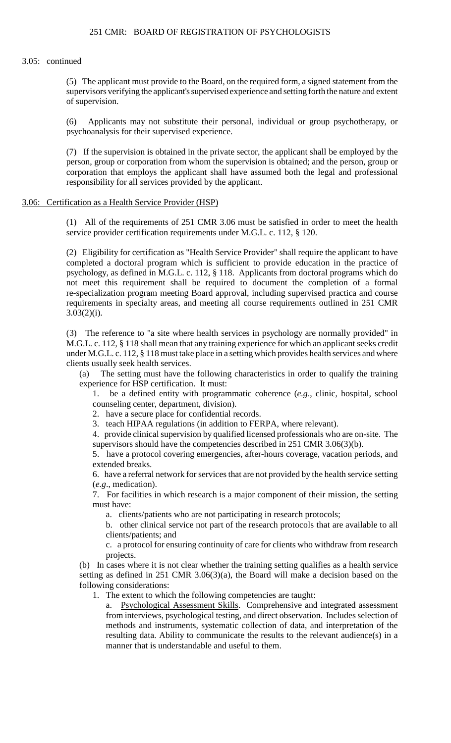### 3.05: continued

(5) The applicant must provide to the Board, on the required form, a signed statement from the supervisors verifying the applicant's supervised experience and setting forth the nature and extent of supervision.

(6) Applicants may not substitute their personal, individual or group psychotherapy, or psychoanalysis for their supervised experience.

(7) If the supervision is obtained in the private sector, the applicant shall be employed by the person, group or corporation from whom the supervision is obtained; and the person, group or corporation that employs the applicant shall have assumed both the legal and professional responsibility for all services provided by the applicant.

### 3.06: Certification as a Health Service Provider (HSP)

(1) All of the requirements of 251 CMR 3.06 must be satisfied in order to meet the health service provider certification requirements under M.G.L. c. 112, § 120.

 (2) Eligibility for certification as "Health Service Provider" shall require the applicant to have not meet this requirement shall be required to document the completion of a formal completed a doctoral program which is sufficient to provide education in the practice of psychology, as defined in M.G.L. c. 112, § 118. Applicants from doctoral programs which do re-specialization program meeting Board approval, including supervised practica and course requirements in specialty areas, and meeting all course requirements outlined in 251 CMR  $3.03(2)(i)$ .

 M.G.L. c. 112, § 118 shall mean that any training experience for which an applicant seeks credit (3) The reference to "a site where health services in psychology are normally provided" in under M.G.L. c. 112, § 118 must take place in a setting which provides health services and where clients usually seek health services.

(a) The setting must have the following characteristics in order to qualify the training experience for HSP certification. It must:

1. be a defined entity with programmatic coherence (*e.g*., clinic, hospital, school counseling center, department, division).

2. have a secure place for confidential records.

3. teach HIPAA regulations (in addition to FERPA, where relevant).

4. provide clinical supervision by qualified licensed professionals who are on-site. The supervisors should have the competencies described in 251 CMR 3.06(3)(b).

 5. have a protocol covering emergencies, after-hours coverage, vacation periods, and extended breaks.

6. have a referral network for services that are not provided by the health service setting (*e.g*., medication).

7. For facilities in which research is a major component of their mission, the setting must have:

a. clients/patients who are not participating in research protocols;

b. other clinical service not part of the research protocols that are available to all clients/patients; and

 c. a protocol for ensuring continuity of care for clients who withdraw from research projects.

(b) In cases where it is not clear whether the training setting qualifies as a health service setting as defined in 251 CMR 3.06(3)(a), the Board will make a decision based on the following considerations:

1. The extent to which the following competencies are taught:

a. Psychological Assessment Skills. Comprehensive and integrated assessment from interviews, psychological testing, and direct observation. Includes selection of methods and instruments, systematic collection of data, and interpretation of the resulting data. Ability to communicate the results to the relevant audience(s) in a manner that is understandable and useful to them.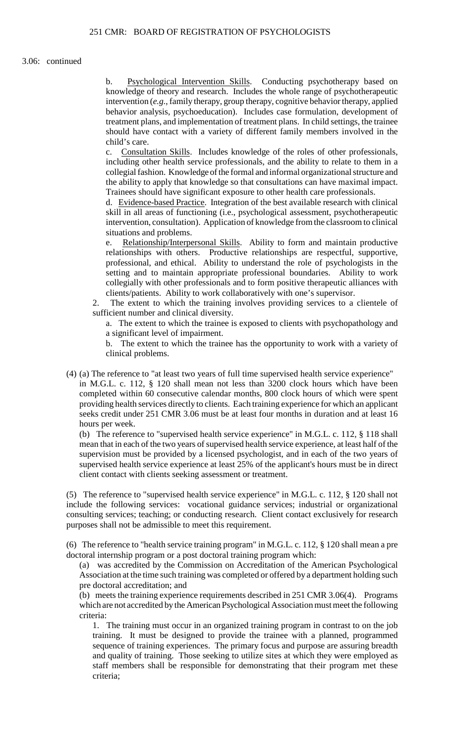b. Psychological Intervention Skills. Conducting psychotherapy based on knowledge of theory and research. Includes the whole range of psychotherapeutic intervention (*e.g.*, family therapy, group therapy, cognitive behavior therapy, applied behavior analysis, psychoeducation). Includes case formulation, development of treatment plans, and implementation of treatment plans. In child settings, the trainee should have contact with a variety of different family members involved in the child's care.

c. Consultation Skills. Includes knowledge of the roles of other professionals, including other health service professionals, and the ability to relate to them in a collegial fashion. Knowledge of the formal and informal organizational structure and the ability to apply that knowledge so that consultations can have maximal impact. Trainees should have significant exposure to other health care professionals.

d. Evidence-based Practice. Integration of the best available research with clinical skill in all areas of functioning (i.e., psychological assessment, psychotherapeutic intervention, consultation). Application of knowledge from the classroom to clinical situations and problems.

e. Relationship/Interpersonal Skills. Ability to form and maintain productive relationships with others. Productive relationships are respectful, supportive, professional, and ethical. Ability to understand the role of psychologists in the setting and to maintain appropriate professional boundaries. Ability to work collegially with other professionals and to form positive therapeutic alliances with clients/patients. Ability to work collaboratively with one's supervisor.

The extent to which the training involves providing services to a clientele of sufficient number and clinical diversity.

a. The extent to which the trainee is exposed to clients with psychopathology and a significant level of impairment.

b. The extent to which the trainee has the opportunity to work with a variety of clinical problems.

(4) (a) The reference to "at least two years of full time supervised health service experience"

in M.G.L. c. 112, § 120 shall mean not less than 3200 clock hours which have been completed within 60 consecutive calendar months, 800 clock hours of which were spent providing health services directly to clients. Each training experience for which an applicant seeks credit under 251 CMR 3.06 must be at least four months in duration and at least 16 hours per week.

 (b) The reference to "supervised health service experience" in M.G.L. c. 112, § 118 shall mean that in each of the two years of supervised health service experience, at least half of the supervision must be provided by a licensed psychologist, and in each of the two years of supervised health service experience at least 25% of the applicant's hours must be in direct client contact with clients seeking assessment or treatment.

(5) The reference to "supervised health service experience" in M.G.L. c. 112, § 120 shall not include the following services: vocational guidance services; industrial or organizational consulting services; teaching; or conducting research. Client contact exclusively for research purposes shall not be admissible to meet this requirement.

(6) The reference to "health service training program" in M.G.L. c. 112, § 120 shall mean a pre doctoral internship program or a post doctoral training program which:

(a) was accredited by the Commission on Accreditation of the American Psychological Association at the time such training was completed or offered by a department holding such pre doctoral accreditation; and

(b) meets the training experience requirements described in 251 CMR 3.06(4). Programs which are not accredited by the American Psychological Association must meet the following criteria:

 sequence of training experiences. The primary focus and purpose are assuring breadth 1. The training must occur in an organized training program in contrast to on the job training. It must be designed to provide the trainee with a planned, programmed and quality of training. Those seeking to utilize sites at which they were employed as staff members shall be responsible for demonstrating that their program met these criteria;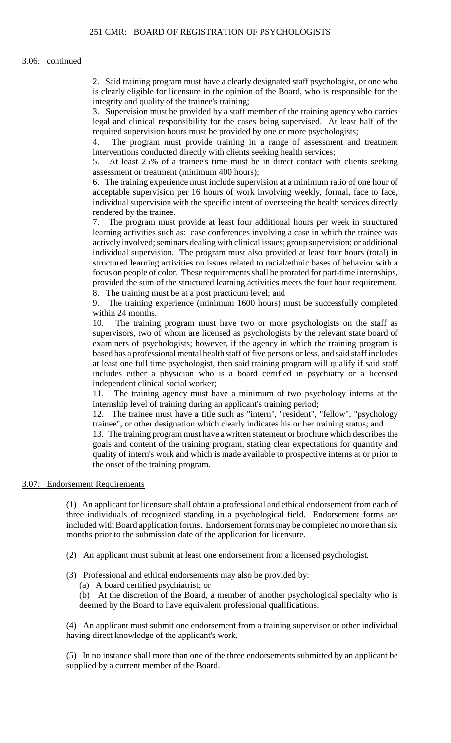is clearly eligible for licensure in the opinion of the Board, who is responsible for the 2. Said training program must have a clearly designated staff psychologist, or one who integrity and quality of the trainee's training;

3. Supervision must be provided by a staff member of the training agency who carries legal and clinical responsibility for the cases being supervised. At least half of the required supervision hours must be provided by one or more psychologists;

4. The program must provide training in a range of assessment and treatment interventions conducted directly with clients seeking health services;

5. At least 25% of a trainee's time must be in direct contact with clients seeking assessment or treatment (minimum 400 hours);

 6. The training experience must include supervision at a minimum ratio of one hour of acceptable supervision per 16 hours of work involving weekly, formal, face to face, individual supervision with the specific intent of overseeing the health services directly rendered by the trainee.

 learning activities such as: case conferences involving a case in which the trainee was structured learning activities on issues related to racial/ethnic bases of behavior with a focus on people of color. These requirements shall be prorated for part-time internships, 7. The program must provide at least four additional hours per week in structured actively involved; seminars dealing with clinical issues; group supervision; or additional individual supervision. The program must also provided at least four hours (total) in provided the sum of the structured learning activities meets the four hour requirement. 8. The training must be at a post practicum level; and

9. The training experience (minimum 1600 hours) must be successfully completed within 24 months.

10. The training program must have two or more psychologists on the staff as supervisors, two of whom are licensed as psychologists by the relevant state board of examiners of psychologists; however, if the agency in which the training program is based has a professional mental health staff of five persons or less, and said staff includes at least one full time psychologist, then said training program will qualify if said staff includes either a physician who is a board certified in psychiatry or a licensed independent clinical social worker;

 11. The training agency must have a minimum of two psychology interns at the internship level of training during an applicant's training period;

12. The trainee must have a title such as "intern", "resident", "fellow", "psychology trainee", or other designation which clearly indicates his or her training status; and

 goals and content of the training program, stating clear expectations for quantity and quality of intern's work and which is made available to prospective interns at or prior to 13. The training program must have a written statement or brochure which describes the the onset of the training program.

### 3.07: Endorsement Requirements

(1) An applicant for licensure shall obtain a professional and ethical endorsement from each of three individuals of recognized standing in a psychological field. Endorsement forms are included with Board application forms. Endorsement forms may be completed no more than six months prior to the submission date of the application for licensure.

- (2) An applicant must submit at least one endorsement from a licensed psychologist.
- (3) Professional and ethical endorsements may also be provided by:
	- (a) A board certified psychiatrist; or

(b) At the discretion of the Board, a member of another psychological specialty who is deemed by the Board to have equivalent professional qualifications.

(4) An applicant must submit one endorsement from a training supervisor or other individual having direct knowledge of the applicant's work.

(5) In no instance shall more than one of the three endorsements submitted by an applicant be supplied by a current member of the Board.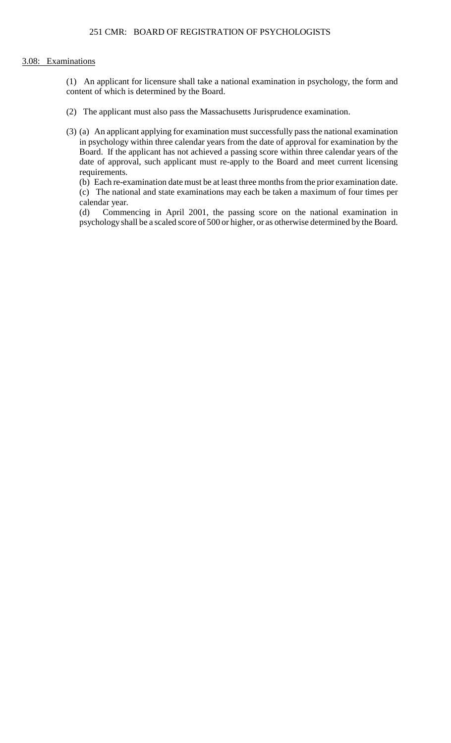# 3.08: Examinations

(1) An applicant for licensure shall take a national examination in psychology, the form and content of which is determined by the Board.

- (2) The applicant must also pass the Massachusetts Jurisprudence examination.
- (3) (a) An applicant applying for examination must successfully pass the national examination Board. If the applicant has not achieved a passing score within three calendar years of the in psychology within three calendar years from the date of approval for examination by the date of approval, such applicant must re-apply to the Board and meet current licensing requirements.

 (b) Each re-examination date must be at least three months from the prior examination date. (c) The national and state examinations may each be taken a maximum of four times per calendar year.

(d) Commencing in April 2001, the passing score on the national examination in psychology shall be a scaled score of 500 or higher, or as otherwise determined by the Board.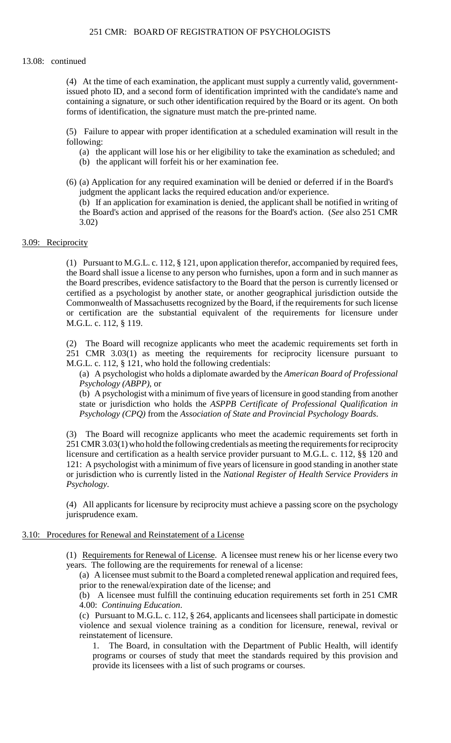### 13.08: continued

(4) At the time of each examination, the applicant must supply a currently valid, governmentissued photo ID, and a second form of identification imprinted with the candidate's name and containing a signature, or such other identification required by the Board or its agent. On both forms of identification, the signature must match the pre-printed name.

(5) Failure to appear with proper identification at a scheduled examination will result in the following:

- (a) the applicant will lose his or her eligibility to take the examination as scheduled; and
- (b) the applicant will forfeit his or her examination fee.
- (6) (a) Application for any required examination will be denied or deferred if in the Board's judgment the applicant lacks the required education and/or experience.

(b) If an application for examination is denied, the applicant shall be notified in writing of the Board's action and apprised of the reasons for the Board's action. (*See* also 251 CMR 3.02)

## 3.09: Reciprocity

 (1) Pursuant to M.G.L. c. 112, § 121, upon application therefor, accompanied by required fees, Commonwealth of Massachusetts recognized by the Board, if the requirements for such license the Board shall issue a license to any person who furnishes, upon a form and in such manner as the Board prescribes, evidence satisfactory to the Board that the person is currently licensed or certified as a psychologist by another state, or another geographical jurisdiction outside the or certification are the substantial equivalent of the requirements for licensure under M.G.L. c. 112, § 119.

 251 CMR 3.03(1) as meeting the requirements for reciprocity licensure pursuant to (2) The Board will recognize applicants who meet the academic requirements set forth in M.G.L. c. 112, § 121, who hold the following credentials:

 (a) A psychologist who holds a diplomate awarded by the *American Board of Professional Psychology (ABPP)*, or

(b) A psychologist with a minimum of five years of licensure in good standing from another state or jurisdiction who holds the *ASPPB Certificate of Professional Qualification in Psychology (CPQ)* from the *Association of State and Provincial Psychology Boards*.

 251 CMR 3.03(1) who hold the following credentials as meeting the requirements for reciprocity licensure and certification as a health service provider pursuant to M.G.L. c. 112, §§ 120 and (3) The Board will recognize applicants who meet the academic requirements set forth in 121: A psychologist with a minimum of five years of licensure in good standing in another state or jurisdiction who is currently listed in the *National Register of Health Service Providers in Psychology*.

 (4) All applicants for licensure by reciprocity must achieve a passing score on the psychology jurisprudence exam.

### 3.10: Procedures for Renewal and Reinstatement of a License

(1) Requirements for Renewal of License. A licensee must renew his or her license every two years. The following are the requirements for renewal of a license:

(a) A licensee must submit to the Board a completed renewal application and required fees, prior to the renewal/expiration date of the license; and

(b) A licensee must fulfill the continuing education requirements set forth in 251 CMR 4.00: *Continuing Education*.

 violence and sexual violence training as a condition for licensure, renewal, revival or (c) Pursuant to M.G.L. c. 112, § 264, applicants and licensees shall participate in domestic reinstatement of licensure.

1. The Board, in consultation with the Department of Public Health, will identify programs or courses of study that meet the standards required by this provision and provide its licensees with a list of such programs or courses.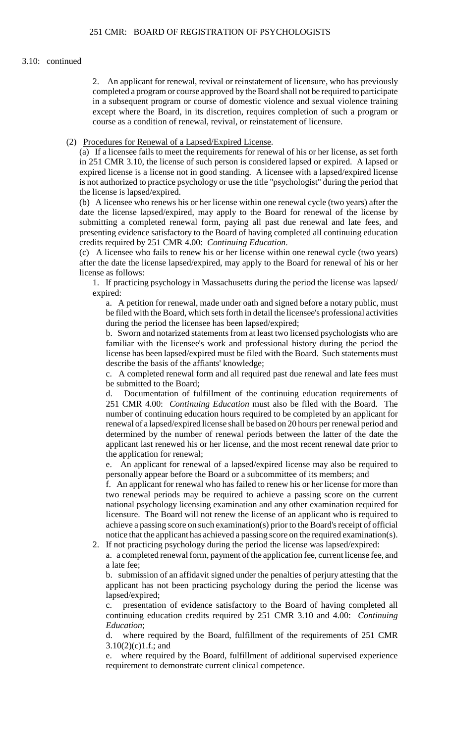#### 3.10: continued

2. An applicant for renewal, revival or reinstatement of licensure, who has previously completed a program or course approved by the Board shall not be required to participate in a subsequent program or course of domestic violence and sexual violence training except where the Board, in its discretion, requires completion of such a program or course as a condition of renewal, revival, or reinstatement of licensure.

(2) Procedures for Renewal of a Lapsed/Expired License.

 in 251 CMR 3.10, the license of such person is considered lapsed or expired. A lapsed or (a) If a licensee fails to meet the requirements for renewal of his or her license, as set forth expired license is a license not in good standing. A licensee with a lapsed/expired license is not authorized to practice psychology or use the title "psychologist" during the period that the license is lapsed/expired.

 presenting evidence satisfactory to the Board of having completed all continuing education (b) A licensee who renews his or her license within one renewal cycle (two years) after the date the license lapsed/expired, may apply to the Board for renewal of the license by submitting a completed renewal form, paying all past due renewal and late fees, and credits required by 251 CMR 4.00: *Continuing Education*.

(c) A licensee who fails to renew his or her license within one renewal cycle (two years) after the date the license lapsed/expired, may apply to the Board for renewal of his or her license as follows:

 1. If practicing psychology in Massachusetts during the period the license was lapsed/ expired:

 a. A petition for renewal, made under oath and signed before a notary public, must be filed with the Board, which sets forth in detail the licensee's professional activities during the period the licensee has been lapsed/expired;

 b. Sworn and notarized statements from at least two licensed psychologists who are familiar with the licensee's work and professional history during the period the license has been lapsed/expired must be filed with the Board. Such statements must describe the basis of the affiants' knowledge;

c. A completed renewal form and all required past due renewal and late fees must be submitted to the Board;

d. Documentation of fulfillment of the continuing education requirements of 251 CMR 4.00: *Continuing Education* must also be filed with the Board. The number of continuing education hours required to be completed by an applicant for renewal of a lapsed/expired license shall be based on 20 hours per renewal period and determined by the number of renewal periods between the latter of the date the applicant last renewed his or her license, and the most recent renewal date prior to the application for renewal;

e. An applicant for renewal of a lapsed/expired license may also be required to personally appear before the Board or a subcommittee of its members; and

 licensure. The Board will not renew the license of an applicant who is required to f. An applicant for renewal who has failed to renew his or her license for more than two renewal periods may be required to achieve a passing score on the current national psychology licensing examination and any other examination required for achieve a passing score on such examination(s) prior to the Board's receipt of official notice that the applicant has achieved a passing score on the required examination(s). 2. If not practicing psychology during the period the license was lapsed/expired:

a. a completed renewal form, payment of the application fee, current license fee, and a late fee;

b. submission of an affidavit signed under the penalties of perjury attesting that the applicant has not been practicing psychology during the period the license was lapsed/expired;

c. presentation of evidence satisfactory to the Board of having completed all continuing education credits required by 251 CMR 3.10 and 4.00: *Continuing Education*;

d. where required by the Board, fulfillment of the requirements of 251 CMR  $3.10(2)(c)1.f.;$  and

e. where required by the Board, fulfillment of additional supervised experience requirement to demonstrate current clinical competence.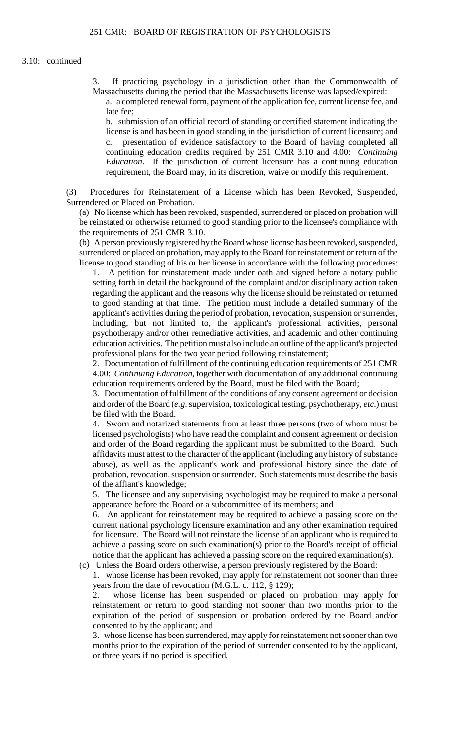#### 3.10: continued

 3. If practicing psychology in a jurisdiction other than the Commonwealth of Massachusetts during the period that the Massachusetts license was lapsed/expired:

a. a completed renewal form, payment of the application fee, current license fee, and late fee;

 b. submission of an official record of standing or certified statement indicating the license is and has been in good standing in the jurisdiction of current licensure; and c. presentation of evidence satisfactory to the Board of having completed all continuing education credits required by 251 CMR 3.10 and 4.00: *Continuing Education*. If the jurisdiction of current licensure has a continuing education requirement, the Board may, in its discretion, waive or modify this requirement.

(3) Procedures for Reinstatement of a License which has been Revoked, Suspended, Surrendered or Placed on Probation.

 be reinstated or otherwise returned to good standing prior to the licensee's compliance with (a) No license which has been revoked, suspended, surrendered or placed on probation will the requirements of 251 CMR 3.10.

 license to good standing of his or her license in accordance with the following procedures: (b) A person previously registered bythe Board whose license has been revoked, suspended, surrendered or placed on probation, may apply to the Board for reinstatement or return of the

1. A petition for reinstatement made under oath and signed before a notary public setting forth in detail the background of the complaint and/or disciplinary action taken regarding the applicant and the reasons why the license should be reinstated or returned to good standing at that time. The petition must include a detailed summary of the applicant's activities during the period of probation, revocation, suspension or surrender, including, but not limited to, the applicant's professional activities, personal psychotherapy and/or other remediative activities, and academic and other continuing education activities. The petition must also include an outline of the applicant's projected professional plans for the two year period following reinstatement;

 2. Documentation of fulfillment of the continuing education requirements of 251 CMR 4.00: *Continuing Education*, together with documentation of any additional continuing education requirements ordered by the Board, must be filed with the Board;

3. Documentation of fulfillment of the conditions of any consent agreement or decision and order of the Board (*e.g*. supervision, toxicological testing, psychotherapy, *etc*.) must be filed with the Board.

 abuse), as well as the applicant's work and professional history since the date of probation, revocation, suspension or surrender. Such statements must describe the basis 4. Sworn and notarized statements from at least three persons (two of whom must be licensed psychologists) who have read the complaint and consent agreement or decision and order of the Board regarding the applicant must be submitted to the Board. Such affidavits must attest to the character of the applicant (including any history of substance of the affiant's knowledge;

 5. The licensee and any supervising psychologist may be required to make a personal appearance before the Board or a subcommittee of its members; and

 current national psychology licensure examination and any other examination required 6. An applicant for reinstatement may be required to achieve a passing score on the for licensure. The Board will not reinstate the license of an applicant who is required to achieve a passing score on such examination(s) prior to the Board's receipt of official notice that the applicant has achieved a passing score on the required examination(s).

(c) Unless the Board orders otherwise, a person previously registered by the Board:

1. whose license has been revoked, may apply for reinstatement not sooner than three years from the date of revocation (M.G.L. c. 112, § 129);

2. whose license has been suspended or placed on probation, may apply for reinstatement or return to good standing not sooner than two months prior to the expiration of the period of suspension or probation ordered by the Board and/or consented to by the applicant; and

3. whose license has been surrendered, may apply for reinstatement not sooner than two months prior to the expiration of the period of surrender consented to by the applicant, or three years if no period is specified.